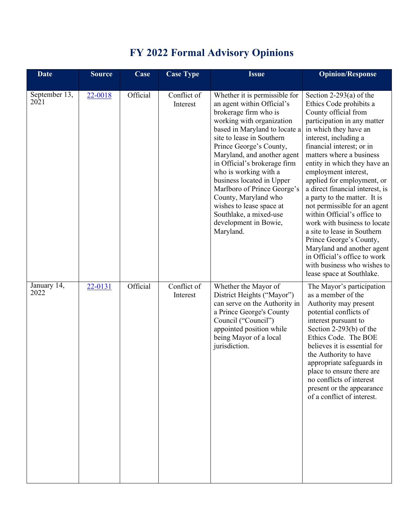|  | <b>FY 2022 Formal Advisory Opinions</b> |  |
|--|-----------------------------------------|--|
|  |                                         |  |

| <b>Date</b>                        | <b>Source</b> | Case     | <b>Case Type</b>        | <b>Issue</b>                                                                                                                                                                                                                                                                                                                                                                                                                                                                       | <b>Opinion/Response</b>                                                                                                                                                                                                                                                                                                                                                                                                                                                                                                                                                                                                                                          |
|------------------------------------|---------------|----------|-------------------------|------------------------------------------------------------------------------------------------------------------------------------------------------------------------------------------------------------------------------------------------------------------------------------------------------------------------------------------------------------------------------------------------------------------------------------------------------------------------------------|------------------------------------------------------------------------------------------------------------------------------------------------------------------------------------------------------------------------------------------------------------------------------------------------------------------------------------------------------------------------------------------------------------------------------------------------------------------------------------------------------------------------------------------------------------------------------------------------------------------------------------------------------------------|
| September 13,<br>$20\overline{2}1$ | 22-0018       | Official | Conflict of<br>Interest | Whether it is permissible for<br>an agent within Official's<br>brokerage firm who is<br>working with organization<br>based in Maryland to locate a<br>site to lease in Southern<br>Prince George's County,<br>Maryland, and another agent<br>in Official's brokerage firm<br>who is working with a<br>business located in Upper<br>Marlboro of Prince George's<br>County, Maryland who<br>wishes to lease space at<br>Southlake, a mixed-use<br>development in Bowie,<br>Maryland. | Section 2-293(a) of the<br>Ethics Code prohibits a<br>County official from<br>participation in any matter<br>in which they have an<br>interest, including a<br>financial interest; or in<br>matters where a business<br>entity in which they have an<br>employment interest,<br>applied for employment, or<br>a direct financial interest, is<br>a party to the matter. It is<br>not permissible for an agent<br>within Official's office to<br>work with business to locate<br>a site to lease in Southern<br>Prince George's County,<br>Maryland and another agent<br>in Official's office to work<br>with business who wishes to<br>lease space at Southlake. |
| January 14,<br>2022                | 22-0131       | Official | Conflict of<br>Interest | Whether the Mayor of<br>District Heights ("Mayor")<br>can serve on the Authority in<br>a Prince George's County<br>Council ("Council")<br>appointed position while<br>being Mayor of a local<br>jurisdiction.                                                                                                                                                                                                                                                                      | The Mayor's participation<br>as a member of the<br>Authority may present<br>potential conflicts of<br>interest pursuant to<br>Section $2-293(b)$ of the<br>Ethics Code. The BOE<br>believes it is essential for<br>the Authority to have<br>appropriate safeguards in<br>place to ensure there are<br>no conflicts of interest<br>present or the appearance<br>of a conflict of interest.                                                                                                                                                                                                                                                                        |